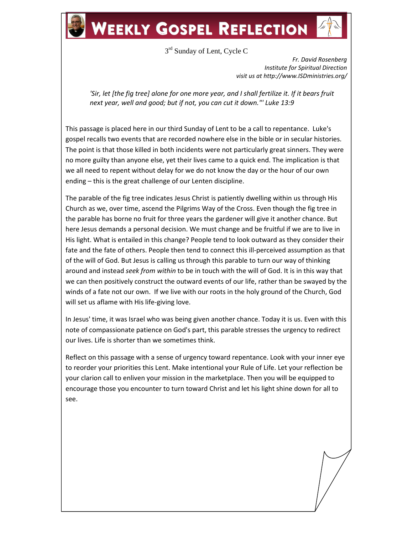## **WEEKLY GOSPEL REFLECTION**

3<sup>rd</sup> Sunday of Lent, Cycle C

*Fr. David Rosenberg Institute for Spiritual Direction visit us at http://www.ISDministries.org/*

*'Sir, let [the fig tree] alone for one more year, and I shall fertilize it. If it bears fruit next year, well and good; but if not, you can cut it down."' Luke 13:9*

This passage is placed here in our third Sunday of Lent to be a call to repentance. Luke's gospel recalls two events that are recorded nowhere else in the bible or in secular histories. The point is that those killed in both incidents were not particularly great sinners. They were no more guilty than anyone else, yet their lives came to a quick end. The implication is that we all need to repent without delay for we do not know the day or the hour of our own ending – this is the great challenge of our Lenten discipline.

The parable of the fig tree indicates Jesus Christ is patiently dwelling within us through His Church as we, over time, ascend the Pilgrims Way of the Cross. Even though the fig tree in the parable has borne no fruit for three years the gardener will give it another chance. But here Jesus demands a personal decision. We must change and be fruitful if we are to live in His light. What is entailed in this change? People tend to look outward as they consider their fate and the fate of others. People then tend to connect this ill-perceived assumption as that of the will of God. But Jesus is calling us through this parable to turn our way of thinking around and instead *seek from within* to be in touch with the will of God. It is in this way that we can then positively construct the outward events of our life, rather than be swayed by the winds of a fate not our own. If we live with our roots in the holy ground of the Church, God will set us aflame with His life-giving love.

In Jesus' time, it was Israel who was being given another chance. Today it is us. Even with this note of compassionate patience on God's part, this parable stresses the urgency to redirect our lives. Life is shorter than we sometimes think.

Reflect on this passage with a sense of urgency toward repentance. Look with your inner eye to reorder your priorities this Lent. Make intentional your Rule of Life. Let your reflection be your clarion call to enliven your mission in the marketplace. Then you will be equipped to encourage those you encounter to turn toward Christ and let his light shine down for all to see.